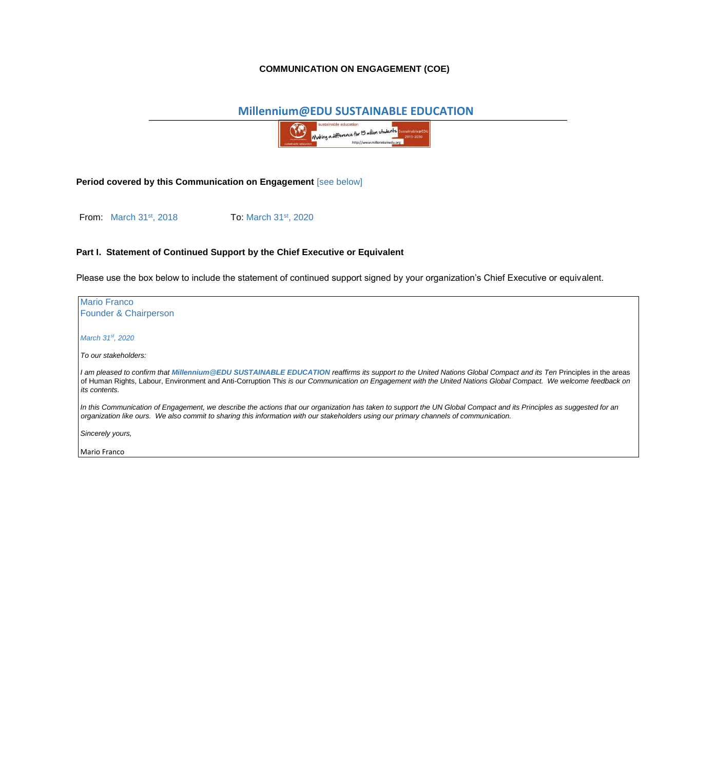## **COMMUNICATION ON ENGAGEMENT (COE)**

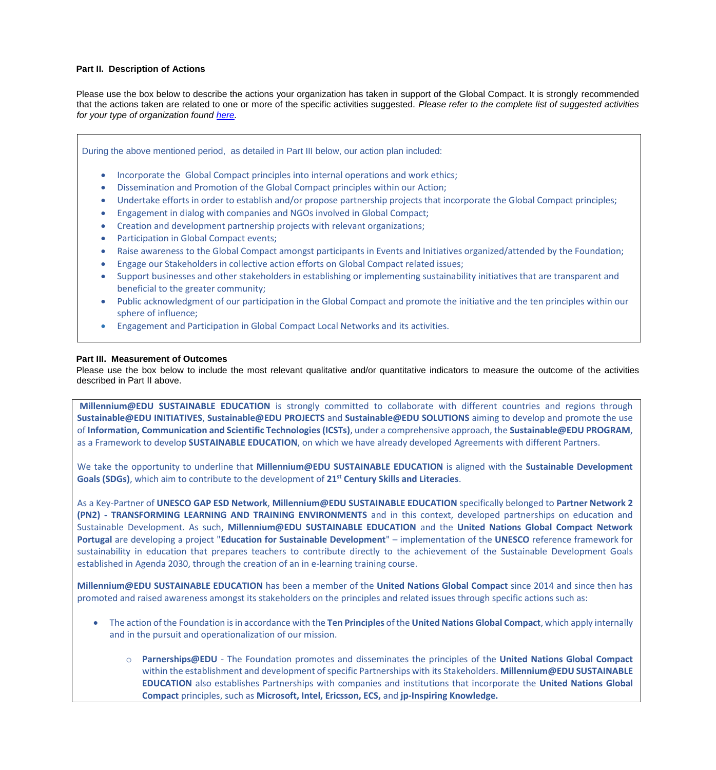## **Part II. Description of Actions**

Please use the box below to describe the actions your organization has taken in support of the Global Compact. It is strongly recommended that the actions taken are related to one or more of the specific activities suggested. *Please refer to the complete list of suggested activities for your type of organization found [here.](https://www.unglobalcompact.org/docs/communication_on_progress/COE/Suggested_Activities.pdf)*

During the above mentioned period, as detailed in Part III below, our action plan included:

- Incorporate the Global Compact principles into internal operations and work ethics;
- Dissemination and Promotion of the Global Compact principles within our Action;
- Undertake efforts in order to establish and/or propose partnership projects that incorporate the Global Compact principles;
- Engagement in dialog with companies and NGOs involved in Global Compact;
- Creation and development partnership projects with relevant organizations;
- Participation in Global Compact events;
- Raise awareness to the Global Compact amongst participants in Events and Initiatives organized/attended by the Foundation;
- Engage our Stakeholders in collective action efforts on Global Compact related issues;
- Support businesses and other stakeholders in establishing or implementing sustainability initiatives that are transparent and beneficial to the greater community;
- Public acknowledgment of our participation in the Global Compact and promote the initiative and the ten principles within our sphere of influence;
- Engagement and Participation in Global Compact Local Networks and its activities.

## **Part III. Measurement of Outcomes**

Please use the box below to include the most relevant qualitative and/or quantitative indicators to measure the outcome of the activities described in Part II above.

**Millennium@EDU SUSTAINABLE EDUCATION** is strongly committed to collaborate with different countries and regions through **Sustainable@EDU INITIATIVES**, **Sustainable@EDU PROJECTS** and **Sustainable@EDU SOLUTIONS** aiming to develop and promote the use of **Information, Communication and Scientific Technologies (ICSTs)**, under a comprehensive approach, the **Sustainable@EDU PROGRAM**, as a Framework to develop **SUSTAINABLE EDUCATION**, on which we have already developed Agreements with different Partners.

We take the opportunity to underline that **Millennium@EDU SUSTAINABLE EDUCATION** is aligned with the **Sustainable Development Goals (SDGs)**, which aim to contribute to the development of **21st Century Skills and Literacies**.

As a Key-Partner of **UNESCO GAP ESD Network**, **Millennium@EDU SUSTAINABLE EDUCATION** specifically belonged to **Partner Network 2 (PN2) - TRANSFORMING LEARNING AND TRAINING ENVIRONMENTS** and in this context, developed partnerships on education and Sustainable Development. As such, **Millennium@EDU SUSTAINABLE EDUCATION** and the **United Nations Global Compact Network Portugal** are developing a project "**Education for Sustainable Development**" – implementation of the **UNESCO** reference framework for sustainability in education that prepares teachers to contribute directly to the achievement of the Sustainable Development Goals established in Agenda 2030, through the creation of an in e-learning training course.

**Millennium@EDU SUSTAINABLE EDUCATION** has been a member of the **United Nations Global Compact** since 2014 and since then has promoted and raised awareness amongst its stakeholders on the principles and related issues through specific actions such as:

- The action of the Foundation is in accordance with the **Ten Principles** of the **United Nations Global Compact**, which apply internally and in the pursuit and operationalization of our mission.
	- o **Parnerships@EDU** The Foundation promotes and disseminates the principles of the **United Nations Global Compact** within the establishment and development of specific Partnerships with its Stakeholders. **Millennium@EDU SUSTAINABLE EDUCATION** also establishes Partnerships with companies and institutions that incorporate the **United Nations Global Compact** principles, such as **Microsoft, Intel, Ericsson, ECS,** and **jp-Inspiring Knowledge.**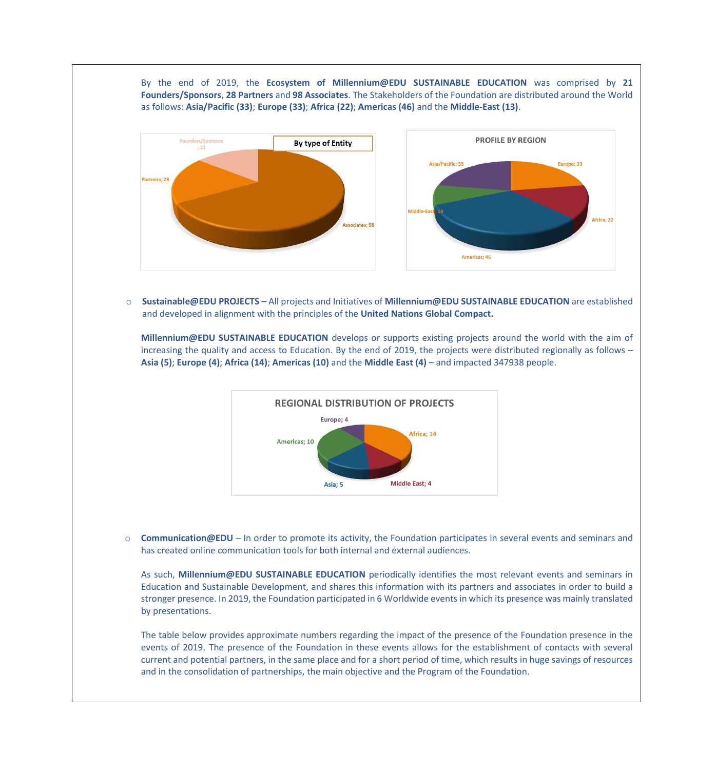By the end of 2019, the **Ecosystem of Millennium@EDU SUSTAINABLE EDUCATION** was comprised by **21 Founders/Sponsors**, **28 Partners** and **98 Associates**. The Stakeholders of the Foundation are distributed around the World as follows: **Asia/Pacific (33)**; **Europe (33)**; **Africa (22)**; **Americas (46)** and the **Middle-East (13)**.



o **Sustainable@EDU PROJECTS** – All projects and Initiatives of **Millennium@EDU SUSTAINABLE EDUCATION** are established and developed in alignment with the principles of the **United Nations Global Compact.**

**Millennium@EDU SUSTAINABLE EDUCATION** develops or supports existing projects around the world with the aim of increasing the quality and access to Education. By the end of 2019, the projects were distributed regionally as follows – **Asia (5)**; **Europe (4)**; **Africa (14)**; **Americas (10)** and the **Middle East (4)** – and impacted 347938 people.



o **Communication@EDU** – In order to promote its activity, the Foundation participates in several events and seminars and has created online communication tools for both internal and external audiences.

As such, **Millennium@EDU SUSTAINABLE EDUCATION** periodically identifies the most relevant events and seminars in Education and Sustainable Development, and shares this information with its partners and associates in order to build a stronger presence. In 2019, the Foundation participated in 6 Worldwide events in which its presence was mainly translated by presentations.

The table below provides approximate numbers regarding the impact of the presence of the Foundation presence in the events of 2019. The presence of the Foundation in these events allows for the establishment of contacts with several current and potential partners, in the same place and for a short period of time, which results in huge savings of resources and in the consolidation of partnerships, the main objective and the Program of the Foundation.